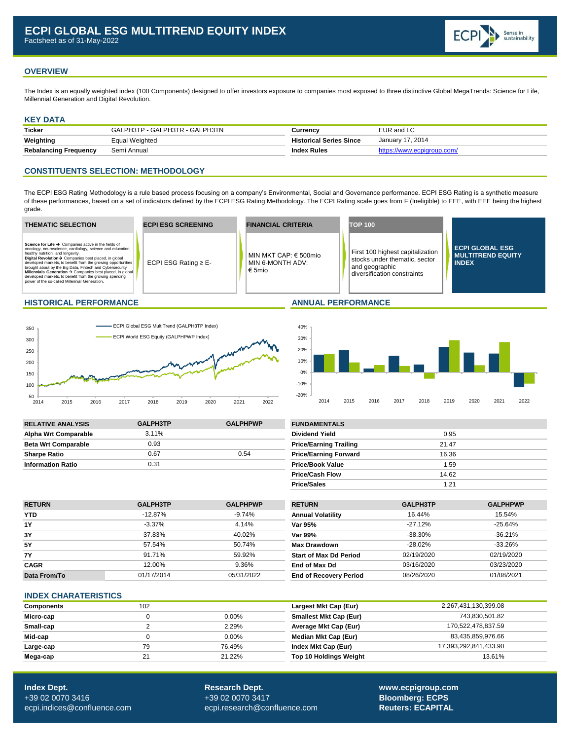# **OVERVIEW**

The Index is an equally weighted index (100 Components) designed to offer investors exposure to companies most exposed to three distinctive Global MegaTrends: Science for Life, Millennial Generation and Digital Revolution.

### **KEY DATA**

| <b>Ticker</b>                | GALPH3TP - GALPH3TR - GALPH3TN | Currencv                       | EUR and LC                 |
|------------------------------|--------------------------------|--------------------------------|----------------------------|
| Weighting                    | Equal Weighted                 | <b>Historical Series Since</b> | January 17, 2014           |
| <b>Rebalancing Frequency</b> | Semi Annual                    | <b>Index Rules</b>             | https://www.ecpigroup.com/ |

# **CONSTITUENTS SELECTION: METHODOLOGY**

The ECPI ESG Rating Methodology is a rule based process focusing on a company's Environmental, Social and Governance performance. ECPI ESG Rating is a synthetic measure of these performances, based on a set of indicators defined by the ECPI ESG Rating Methodology. The ECPI Rating scale goes from F (Ineligible) to EEE, with EEE being the highest grade.







| <b>RELATIVE ANALYSIS</b>    | <b>GALPH3TP</b> | <b>GALPHPWP</b> | <b>FUNDAMENTALS</b>           |       |
|-----------------------------|-----------------|-----------------|-------------------------------|-------|
| <b>Alpha Wrt Comparable</b> | $3.11\%$        |                 | <b>Dividend Yield</b>         | 0.95  |
| <b>Beta Wrt Comparable</b>  | 0.93            |                 | <b>Price/Earning Trailing</b> | 21.47 |
| <b>Sharpe Ratio</b>         | 0.67            | 0.54            | <b>Price/Earning Forward</b>  | 16.36 |
| <b>Information Ratio</b>    | 0.31            |                 | <b>Price/Book Value</b>       | 1.59  |

| <b>FUNDAMENTALS</b>           |       |  |
|-------------------------------|-------|--|
| <b>Dividend Yield</b>         | 0.95  |  |
| <b>Price/Earning Trailing</b> | 21.47 |  |
| <b>Price/Earning Forward</b>  | 16.36 |  |
| <b>Price/Book Value</b>       | 1.59  |  |
| <b>Price/Cash Flow</b>        | 14.62 |  |
| <b>Price/Sales</b>            | 1.21  |  |

| <b>RETURN</b> | <b>GALPH3TP</b> | <b>GALPHPWP</b> | <b>RETURN</b>                 | GALPH3TP   | <b>GALPHPWP</b> |
|---------------|-----------------|-----------------|-------------------------------|------------|-----------------|
| <b>YTD</b>    | $-12.87\%$      | $-9.74%$        | <b>Annual Volatility</b>      | 16.44%     | 15.54%          |
| <b>1Y</b>     | $-3.37\%$       | 4.14%           | Var 95%                       | -27.12%    | $-25.64%$       |
| 3Y            | 37.83%          | 40.02%          | Var 99%                       | $-38.30\%$ | $-36.21%$       |
| <b>5Y</b>     | 57.54%          | 50.74%          | <b>Max Drawdown</b>           | $-28.02\%$ | $-33.26\%$      |
| <b>7Y</b>     | 91.71%          | 59.92%          | <b>Start of Max Dd Period</b> | 02/19/2020 | 02/19/2020      |
| <b>CAGR</b>   | 12.00%          | 9.36%           | End of Max Dd                 | 03/16/2020 | 03/23/2020      |
| Data From/To  | 01/17/2014      | 05/31/2022      | <b>End of Recovery Period</b> | 08/26/2020 | 01/08/2021      |

### **INDEX CHARATERISTICS**

| <b>Components</b> | 102 |          | Largest Mkt Cap (Eur)         | 2,267,431,130,399.08  |
|-------------------|-----|----------|-------------------------------|-----------------------|
| Micro-cap         |     | $0.00\%$ | <b>Smallest Mkt Cap (Eur)</b> | 743.830.501.82        |
| Small-cap         |     | 2.29%    | Average Mkt Cap (Eur)         | 170,522,478,837.59    |
| Mid-cap           |     | $0.00\%$ | Median Mkt Cap (Eur)          | 83,435,859,976.66     |
| Large-cap         | 79  | 76.49%   | Index Mkt Cap (Eur)           | 17,393,292,841,433.90 |
| Mega-cap          |     | 21.22%   | <b>Top 10 Holdings Weight</b> | 13.61%                |

**Index Dept. Research Dept. [www.ecpigroup.com](http://www.ecpigroup.com/)**  +39 02 0070 3416 +39 02 0070 3417 **Bloomberg: ECPS** [ecpi.indices@confluence.com](mailto:ecpi.indices@cofluence.com) [ecpi.research@confluence.com](mailto:research@statpro.com) **Reuters: ECAPITAL**